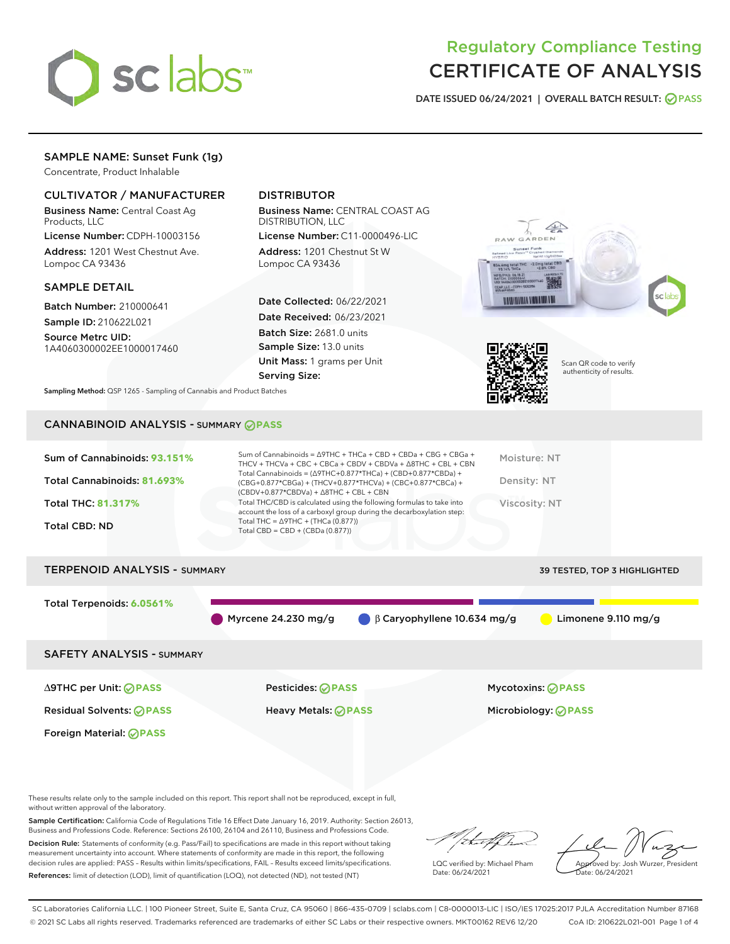

# Regulatory Compliance Testing CERTIFICATE OF ANALYSIS

DATE ISSUED 06/24/2021 | OVERALL BATCH RESULT: @ PASS

### SAMPLE NAME: Sunset Funk (1g)

Concentrate, Product Inhalable

#### CULTIVATOR / MANUFACTURER

Business Name: Central Coast Ag Products, LLC

License Number: CDPH-10003156 Address: 1201 West Chestnut Ave. Lompoc CA 93436

#### SAMPLE DETAIL

Batch Number: 210000641 Sample ID: 210622L021

Source Metrc UID:

1A4060300002EE1000017460

## DISTRIBUTOR

Business Name: CENTRAL COAST AG DISTRIBUTION, LLC

License Number: C11-0000496-LIC Address: 1201 Chestnut St W Lompoc CA 93436

Date Collected: 06/22/2021 Date Received: 06/23/2021 Batch Size: 2681.0 units Sample Size: 13.0 units Unit Mass: 1 grams per Unit Serving Size:





Scan QR code to verify authenticity of results.

Sampling Method: QSP 1265 - Sampling of Cannabis and Product Batches

#### CANNABINOID ANALYSIS - SUMMARY **PASS**

# TERPENOID ANALYSIS - SUMMARY 39 TESTED, TOP 3 HIGHLIGHTED Total Terpenoids: **6.0561%** Myrcene 24.230 mg/g β Caryophyllene 10.634 mg/g Limonene 9.110 mg/g SAFETY ANALYSIS - SUMMARY

∆9THC per Unit: **PASS** Pesticides: **PASS** Mycotoxins: **PASS**

Foreign Material: **PASS**

Residual Solvents: **PASS** Heavy Metals: **PASS** Microbiology: **PASS**

These results relate only to the sample included on this report. This report shall not be reproduced, except in full, without written approval of the laboratory.

Sample Certification: California Code of Regulations Title 16 Effect Date January 16, 2019. Authority: Section 26013, Business and Professions Code. Reference: Sections 26100, 26104 and 26110, Business and Professions Code. Decision Rule: Statements of conformity (e.g. Pass/Fail) to specifications are made in this report without taking

measurement uncertainty into account. Where statements of conformity are made in this report, the following decision rules are applied: PASS – Results within limits/specifications, FAIL – Results exceed limits/specifications. References: limit of detection (LOD), limit of quantification (LOQ), not detected (ND), not tested (NT)

:t.aff h

LQC verified by: Michael Pham Date: 06/24/2021

Approved by: Josh Wurzer, President ate: 06/24/2021

SC Laboratories California LLC. | 100 Pioneer Street, Suite E, Santa Cruz, CA 95060 | 866-435-0709 | sclabs.com | C8-0000013-LIC | ISO/IES 17025:2017 PJLA Accreditation Number 87168 © 2021 SC Labs all rights reserved. Trademarks referenced are trademarks of either SC Labs or their respective owners. MKT00162 REV6 12/20 CoA ID: 210622L021-001 Page 1 of 4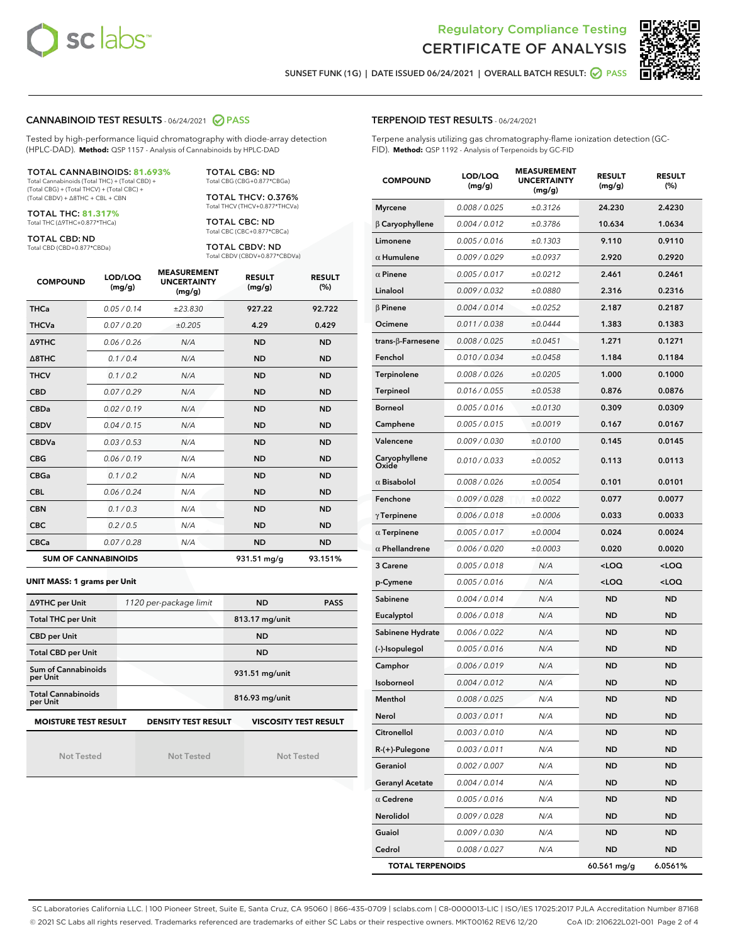



SUNSET FUNK (1G) | DATE ISSUED 06/24/2021 | OVERALL BATCH RESULT: @ PASS

#### CANNABINOID TEST RESULTS - 06/24/2021 2 PASS

Tested by high-performance liquid chromatography with diode-array detection (HPLC-DAD). **Method:** QSP 1157 - Analysis of Cannabinoids by HPLC-DAD

#### TOTAL CANNABINOIDS: **81.693%**

Total Cannabinoids (Total THC) + (Total CBD) + (Total CBG) + (Total THCV) + (Total CBC) + (Total CBDV) + ∆8THC + CBL + CBN

TOTAL THC: **81.317%** Total THC (∆9THC+0.877\*THCa)

TOTAL CBD: ND

Total CBD (CBD+0.877\*CBDa)

TOTAL CBG: ND Total CBG (CBG+0.877\*CBGa)

TOTAL THCV: 0.376% Total THCV (THCV+0.877\*THCVa)

TOTAL CBC: ND Total CBC (CBC+0.877\*CBCa)

TOTAL CBDV: ND Total CBDV (CBDV+0.877\*CBDVa)

| <b>COMPOUND</b>  | LOD/LOQ<br>(mg/g)          | <b>MEASUREMENT</b><br><b>UNCERTAINTY</b><br>(mg/g) | <b>RESULT</b><br>(mg/g) | <b>RESULT</b><br>(%) |
|------------------|----------------------------|----------------------------------------------------|-------------------------|----------------------|
| <b>THCa</b>      | 0.05/0.14                  | ±23.830                                            | 927.22                  | 92.722               |
| <b>THCVa</b>     | 0.07/0.20                  | ±0.205                                             | 4.29                    | 0.429                |
| Δ9THC            | 0.06 / 0.26                | N/A                                                | <b>ND</b>               | <b>ND</b>            |
| $\triangle$ 8THC | 0.1/0.4                    | N/A                                                | <b>ND</b>               | <b>ND</b>            |
| <b>THCV</b>      | 0.1/0.2                    | N/A                                                | <b>ND</b>               | <b>ND</b>            |
| <b>CBD</b>       | 0.07/0.29                  | N/A                                                | <b>ND</b>               | <b>ND</b>            |
| <b>CBDa</b>      | 0.02/0.19                  | N/A                                                | <b>ND</b>               | <b>ND</b>            |
| <b>CBDV</b>      | 0.04/0.15                  | N/A                                                | <b>ND</b>               | <b>ND</b>            |
| <b>CBDVa</b>     | 0.03/0.53                  | N/A                                                | <b>ND</b>               | <b>ND</b>            |
| <b>CBG</b>       | 0.06/0.19                  | N/A                                                | <b>ND</b>               | <b>ND</b>            |
| <b>CBGa</b>      | 0.1 / 0.2                  | N/A                                                | <b>ND</b>               | <b>ND</b>            |
| <b>CBL</b>       | 0.06/0.24                  | N/A                                                | <b>ND</b>               | <b>ND</b>            |
| <b>CBN</b>       | 0.1 / 0.3                  | N/A                                                | <b>ND</b>               | <b>ND</b>            |
| <b>CBC</b>       | 0.2 / 0.5                  | N/A                                                | <b>ND</b>               | <b>ND</b>            |
| <b>CBCa</b>      | 0.07/0.28                  | N/A                                                | <b>ND</b>               | <b>ND</b>            |
|                  | <b>SUM OF CANNABINOIDS</b> |                                                    | 931.51 mg/g             | 93.151%              |

#### **UNIT MASS: 1 grams per Unit**

| ∆9THC per Unit                        | 1120 per-package limit     | <b>ND</b>      | <b>PASS</b>                  |
|---------------------------------------|----------------------------|----------------|------------------------------|
| <b>Total THC per Unit</b>             |                            | 813.17 mg/unit |                              |
| <b>CBD per Unit</b>                   |                            | <b>ND</b>      |                              |
| <b>Total CBD per Unit</b>             |                            | <b>ND</b>      |                              |
| Sum of Cannabinoids<br>per Unit       |                            | 931.51 mg/unit |                              |
| <b>Total Cannabinoids</b><br>per Unit |                            | 816.93 mg/unit |                              |
| <b>MOISTURE TEST RESULT</b>           | <b>DENSITY TEST RESULT</b> |                | <b>VISCOSITY TEST RESULT</b> |

Not Tested

Not Tested

Not Tested

#### TERPENOID TEST RESULTS - 06/24/2021

Terpene analysis utilizing gas chromatography-flame ionization detection (GC-FID). **Method:** QSP 1192 - Analysis of Terpenoids by GC-FID

| <b>COMPOUND</b>         | LOD/LOQ<br>(mg/g) | <b>MEASUREMENT</b><br><b>UNCERTAINTY</b><br>(mg/g) | <b>RESULT</b><br>(mg/g)                         | <b>RESULT</b><br>(%) |
|-------------------------|-------------------|----------------------------------------------------|-------------------------------------------------|----------------------|
| <b>Myrcene</b>          | 0.008 / 0.025     | ±0.3126                                            | 24.230                                          | 2.4230               |
| $\beta$ Caryophyllene   | 0.004 / 0.012     | ±0.3786                                            | 10.634                                          | 1.0634               |
| Limonene                | 0.005 / 0.016     | ±0.1303                                            | 9.110                                           | 0.9110               |
| $\alpha$ Humulene       | 0.009 / 0.029     | ±0.0937                                            | 2.920                                           | 0.2920               |
| $\alpha$ Pinene         | 0.005 / 0.017     | ±0.0212                                            | 2.461                                           | 0.2461               |
| Linalool                | 0.009 / 0.032     | ±0.0880                                            | 2.316                                           | 0.2316               |
| $\beta$ Pinene          | 0.004 / 0.014     | ±0.0252                                            | 2.187                                           | 0.2187               |
| Ocimene                 | 0.011 / 0.038     | ±0.0444                                            | 1.383                                           | 0.1383               |
| trans-β-Farnesene       | 0.008 / 0.025     | ±0.0451                                            | 1.271                                           | 0.1271               |
| Fenchol                 | 0.010 / 0.034     | ±0.0458                                            | 1.184                                           | 0.1184               |
| Terpinolene             | 0.008 / 0.026     | ±0.0205                                            | 1.000                                           | 0.1000               |
| Terpineol               | 0.016 / 0.055     | ±0.0538                                            | 0.876                                           | 0.0876               |
| <b>Borneol</b>          | 0.005 / 0.016     | ±0.0130                                            | 0.309                                           | 0.0309               |
| Camphene                | 0.005 / 0.015     | ±0.0019                                            | 0.167                                           | 0.0167               |
| Valencene               | 0.009 / 0.030     | ±0.0100                                            | 0.145                                           | 0.0145               |
| Caryophyllene<br>Oxide  | 0.010 / 0.033     | ±0.0052                                            | 0.113                                           | 0.0113               |
| $\alpha$ Bisabolol      | 0.008 / 0.026     | ±0.0054                                            | 0.101                                           | 0.0101               |
| Fenchone                | 0.009 / 0.028     | ±0.0022                                            | 0.077                                           | 0.0077               |
| $\gamma$ Terpinene      | 0.006 / 0.018     | ±0.0006                                            | 0.033                                           | 0.0033               |
| $\alpha$ Terpinene      | 0.005 / 0.017     | ±0.0004                                            | 0.024                                           | 0.0024               |
| $\alpha$ Phellandrene   | 0.006 / 0.020     | ±0.0003                                            | 0.020                                           | 0.0020               |
| 3 Carene                | 0.005 / 0.018     | N/A                                                | <loq< th=""><th><loq< th=""></loq<></th></loq<> | <loq< th=""></loq<>  |
| p-Cymene                | 0.005 / 0.016     | N/A                                                | <loq< th=""><th><loq< th=""></loq<></th></loq<> | <loq< th=""></loq<>  |
| Sabinene                | 0.004 / 0.014     | N/A                                                | ND                                              | <b>ND</b>            |
| Eucalyptol              | 0.006 / 0.018     | N/A                                                | <b>ND</b>                                       | <b>ND</b>            |
| Sabinene Hydrate        | 0.006 / 0.022     | N/A                                                | <b>ND</b>                                       | <b>ND</b>            |
| (-)-Isopulegol          | 0.005 / 0.016     | N/A                                                | ND                                              | <b>ND</b>            |
| Camphor                 | 0.006 / 0.019     | N/A                                                | <b>ND</b>                                       | <b>ND</b>            |
| Isoborneol              | 0.004 / 0.012     | N/A                                                | ND                                              | <b>ND</b>            |
| Menthol                 | 0.008 / 0.025     | N/A                                                | <b>ND</b>                                       | <b>ND</b>            |
| Nerol                   | 0.003 / 0.011     | N/A                                                | ND                                              | <b>ND</b>            |
| Citronellol             | 0.003 / 0.010     | N/A                                                | ND                                              | ND                   |
| $R-(+)$ -Pulegone       | 0.003 / 0.011     | N/A                                                | ND                                              | <b>ND</b>            |
| Geraniol                | 0.002 / 0.007     | N/A                                                | <b>ND</b>                                       | <b>ND</b>            |
| <b>Geranyl Acetate</b>  | 0.004 / 0.014     | N/A                                                | ND                                              | ND                   |
| $\alpha$ Cedrene        | 0.005 / 0.016     | N/A                                                | ND                                              | ND                   |
| Nerolidol               | 0.009 / 0.028     | N/A                                                | <b>ND</b>                                       | <b>ND</b>            |
| Guaiol                  | 0.009 / 0.030     | N/A                                                | ND                                              | ND                   |
| Cedrol                  | 0.008 / 0.027     | N/A                                                | ND                                              | <b>ND</b>            |
| <b>TOTAL TERPENOIDS</b> |                   |                                                    | 60.561 mg/g                                     | 6.0561%              |

SC Laboratories California LLC. | 100 Pioneer Street, Suite E, Santa Cruz, CA 95060 | 866-435-0709 | sclabs.com | C8-0000013-LIC | ISO/IES 17025:2017 PJLA Accreditation Number 87168 © 2021 SC Labs all rights reserved. Trademarks referenced are trademarks of either SC Labs or their respective owners. MKT00162 REV6 12/20 CoA ID: 210622L021-001 Page 2 of 4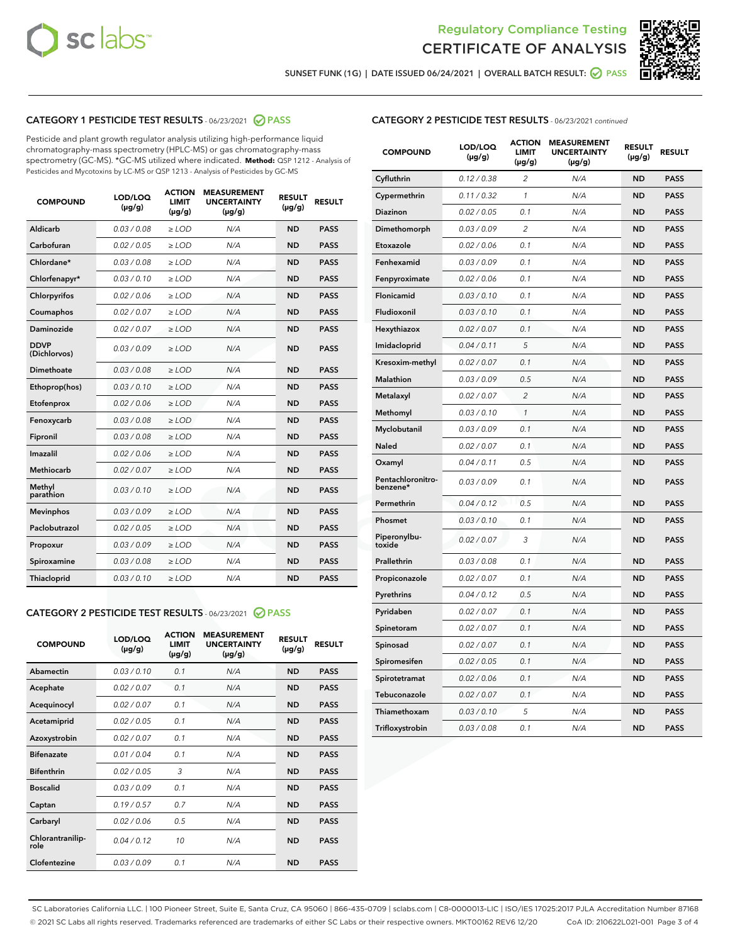



SUNSET FUNK (1G) | DATE ISSUED 06/24/2021 | OVERALL BATCH RESULT:  $\bigcirc$  PASS

#### CATEGORY 1 PESTICIDE TEST RESULTS - 06/23/2021 2 PASS

Pesticide and plant growth regulator analysis utilizing high-performance liquid chromatography-mass spectrometry (HPLC-MS) or gas chromatography-mass spectrometry (GC-MS). \*GC-MS utilized where indicated. **Method:** QSP 1212 - Analysis of Pesticides and Mycotoxins by LC-MS or QSP 1213 - Analysis of Pesticides by GC-MS

| <b>COMPOUND</b>             | LOD/LOQ<br>$(\mu g/g)$ | <b>ACTION</b><br><b>LIMIT</b><br>$(\mu g/g)$ | <b>MEASUREMENT</b><br><b>UNCERTAINTY</b><br>$(\mu g/g)$ | <b>RESULT</b><br>$(\mu g/g)$ | <b>RESULT</b> |
|-----------------------------|------------------------|----------------------------------------------|---------------------------------------------------------|------------------------------|---------------|
| Aldicarb                    | 0.03/0.08              | $>$ LOD                                      | N/A                                                     | <b>ND</b>                    | <b>PASS</b>   |
| Carbofuran                  | 0.02 / 0.05            | $\ge$ LOD                                    | N/A                                                     | <b>ND</b>                    | <b>PASS</b>   |
| Chlordane*                  | 0.03/0.08              | $>$ LOD                                      | N/A                                                     | <b>ND</b>                    | <b>PASS</b>   |
| Chlorfenapyr*               | 0.03/0.10              | $\ge$ LOD                                    | N/A                                                     | <b>ND</b>                    | <b>PASS</b>   |
| Chlorpyrifos                | 0.02 / 0.06            | $\geq$ LOD                                   | N/A                                                     | <b>ND</b>                    | <b>PASS</b>   |
| Coumaphos                   | 0.02 / 0.07            | $\ge$ LOD                                    | N/A                                                     | <b>ND</b>                    | <b>PASS</b>   |
| Daminozide                  | 0.02 / 0.07            | $\ge$ LOD                                    | N/A                                                     | <b>ND</b>                    | <b>PASS</b>   |
| <b>DDVP</b><br>(Dichlorvos) | 0.03/0.09              | $\ge$ LOD                                    | N/A                                                     | <b>ND</b>                    | <b>PASS</b>   |
| <b>Dimethoate</b>           | 0.03/0.08              | $\ge$ LOD                                    | N/A                                                     | <b>ND</b>                    | <b>PASS</b>   |
| Ethoprop(hos)               | 0.03/0.10              | $\ge$ LOD                                    | N/A                                                     | <b>ND</b>                    | <b>PASS</b>   |
| Etofenprox                  | 0.02 / 0.06            | $\ge$ LOD                                    | N/A                                                     | <b>ND</b>                    | <b>PASS</b>   |
| Fenoxycarb                  | 0.03/0.08              | $\ge$ LOD                                    | N/A                                                     | <b>ND</b>                    | <b>PASS</b>   |
| Fipronil                    | 0.03/0.08              | $>$ LOD                                      | N/A                                                     | <b>ND</b>                    | <b>PASS</b>   |
| Imazalil                    | 0.02 / 0.06            | $>$ LOD                                      | N/A                                                     | <b>ND</b>                    | <b>PASS</b>   |
| <b>Methiocarb</b>           | 0.02 / 0.07            | $\ge$ LOD                                    | N/A                                                     | <b>ND</b>                    | <b>PASS</b>   |
| Methyl<br>parathion         | 0.03/0.10              | $\ge$ LOD                                    | N/A                                                     | <b>ND</b>                    | <b>PASS</b>   |
| <b>Mevinphos</b>            | 0.03/0.09              | $\ge$ LOD                                    | N/A                                                     | <b>ND</b>                    | <b>PASS</b>   |
| Paclobutrazol               | 0.02 / 0.05            | $>$ LOD                                      | N/A                                                     | <b>ND</b>                    | <b>PASS</b>   |
| Propoxur                    | 0.03/0.09              | $\ge$ LOD                                    | N/A                                                     | <b>ND</b>                    | <b>PASS</b>   |
| Spiroxamine                 | 0.03/0.08              | $\ge$ LOD                                    | N/A                                                     | <b>ND</b>                    | <b>PASS</b>   |
| Thiacloprid                 | 0.03/0.10              | $\ge$ LOD                                    | N/A                                                     | <b>ND</b>                    | <b>PASS</b>   |

#### CATEGORY 2 PESTICIDE TEST RESULTS - 06/23/2021 @ PASS

| <b>COMPOUND</b>          | LOD/LOQ<br>$(\mu g/g)$ | <b>ACTION</b><br><b>LIMIT</b><br>$(\mu g/g)$ | <b>MEASUREMENT</b><br><b>UNCERTAINTY</b><br>$(\mu g/g)$ | <b>RESULT</b><br>$(\mu g/g)$ | <b>RESULT</b> |
|--------------------------|------------------------|----------------------------------------------|---------------------------------------------------------|------------------------------|---------------|
| Abamectin                | 0.03/0.10              | 0.1                                          | N/A                                                     | <b>ND</b>                    | <b>PASS</b>   |
| Acephate                 | 0.02/0.07              | 0.1                                          | N/A                                                     | <b>ND</b>                    | <b>PASS</b>   |
| Acequinocyl              | 0.02/0.07              | 0.1                                          | N/A                                                     | <b>ND</b>                    | <b>PASS</b>   |
| Acetamiprid              | 0.02/0.05              | 0.1                                          | N/A                                                     | <b>ND</b>                    | <b>PASS</b>   |
| Azoxystrobin             | 0 02 / 0 07            | 0.1                                          | N/A                                                     | <b>ND</b>                    | <b>PASS</b>   |
| <b>Bifenazate</b>        | 0.01/0.04              | 0.1                                          | N/A                                                     | <b>ND</b>                    | <b>PASS</b>   |
| <b>Bifenthrin</b>        | 0.02 / 0.05            | 3                                            | N/A                                                     | <b>ND</b>                    | <b>PASS</b>   |
| <b>Boscalid</b>          | 0.03/0.09              | 0.1                                          | N/A                                                     | <b>ND</b>                    | <b>PASS</b>   |
| Captan                   | 0.19/0.57              | 0.7                                          | N/A                                                     | <b>ND</b>                    | <b>PASS</b>   |
| Carbaryl                 | 0.02/0.06              | 0.5                                          | N/A                                                     | <b>ND</b>                    | <b>PASS</b>   |
| Chlorantranilip-<br>role | 0.04/0.12              | 10                                           | N/A                                                     | <b>ND</b>                    | <b>PASS</b>   |
| Clofentezine             | 0.03/0.09              | 0.1                                          | N/A                                                     | <b>ND</b>                    | <b>PASS</b>   |

#### CATEGORY 2 PESTICIDE TEST RESULTS - 06/23/2021 continued

| <b>COMPOUND</b>               | LOD/LOQ<br>(µg/g) | <b>ACTION</b><br><b>LIMIT</b><br>$(\mu g/g)$ | <b>MEASUREMENT</b><br><b>UNCERTAINTY</b><br>$(\mu g/g)$ | <b>RESULT</b><br>(µg/g) | <b>RESULT</b> |
|-------------------------------|-------------------|----------------------------------------------|---------------------------------------------------------|-------------------------|---------------|
| Cyfluthrin                    | 0.12 / 0.38       | $\overline{c}$                               | N/A                                                     | ND                      | <b>PASS</b>   |
| Cypermethrin                  | 0.11 / 0.32       | $\mathcal{I}$                                | N/A                                                     | ND                      | <b>PASS</b>   |
| <b>Diazinon</b>               | 0.02 / 0.05       | 0.1                                          | N/A                                                     | <b>ND</b>               | <b>PASS</b>   |
| Dimethomorph                  | 0.03 / 0.09       | 2                                            | N/A                                                     | ND                      | <b>PASS</b>   |
| Etoxazole                     | 0.02 / 0.06       | 0.1                                          | N/A                                                     | ND                      | <b>PASS</b>   |
| Fenhexamid                    | 0.03 / 0.09       | 0.1                                          | N/A                                                     | ND                      | <b>PASS</b>   |
| Fenpyroximate                 | 0.02 / 0.06       | 0.1                                          | N/A                                                     | <b>ND</b>               | <b>PASS</b>   |
| Flonicamid                    | 0.03 / 0.10       | 0.1                                          | N/A                                                     | ND                      | <b>PASS</b>   |
| Fludioxonil                   | 0.03 / 0.10       | 0.1                                          | N/A                                                     | ND                      | <b>PASS</b>   |
| Hexythiazox                   | 0.02 / 0.07       | 0.1                                          | N/A                                                     | ND                      | <b>PASS</b>   |
| Imidacloprid                  | 0.04 / 0.11       | 5                                            | N/A                                                     | ND                      | <b>PASS</b>   |
| Kresoxim-methyl               | 0.02 / 0.07       | 0.1                                          | N/A                                                     | ND                      | <b>PASS</b>   |
| Malathion                     | 0.03 / 0.09       | 0.5                                          | N/A                                                     | <b>ND</b>               | <b>PASS</b>   |
| Metalaxyl                     | 0.02 / 0.07       | $\overline{c}$                               | N/A                                                     | ND                      | <b>PASS</b>   |
| Methomyl                      | 0.03 / 0.10       | 1                                            | N/A                                                     | ND                      | <b>PASS</b>   |
| Myclobutanil                  | 0.03 / 0.09       | 0.1                                          | N/A                                                     | <b>ND</b>               | <b>PASS</b>   |
| Naled                         | 0.02 / 0.07       | 0.1                                          | N/A                                                     | ND                      | <b>PASS</b>   |
| Oxamyl                        | 0.04 / 0.11       | 0.5                                          | N/A                                                     | ND                      | <b>PASS</b>   |
| Pentachloronitro-<br>benzene* | 0.03 / 0.09       | 0.1                                          | N/A                                                     | ND                      | <b>PASS</b>   |
| Permethrin                    | 0.04 / 0.12       | 0.5                                          | N/A                                                     | ND                      | <b>PASS</b>   |
| Phosmet                       | 0.03 / 0.10       | 0.1                                          | N/A                                                     | ND                      | <b>PASS</b>   |
| Piperonylbu-<br>toxide        | 0.02 / 0.07       | 3                                            | N/A                                                     | ND                      | <b>PASS</b>   |
| Prallethrin                   | 0.03 / 0.08       | 0.1                                          | N/A                                                     | ND                      | <b>PASS</b>   |
| Propiconazole                 | 0.02 / 0.07       | 0.1                                          | N/A                                                     | ND                      | <b>PASS</b>   |
| Pyrethrins                    | 0.04 / 0.12       | 0.5                                          | N/A                                                     | ND                      | <b>PASS</b>   |
| Pyridaben                     | 0.02 / 0.07       | 0.1                                          | N/A                                                     | <b>ND</b>               | <b>PASS</b>   |
| Spinetoram                    | 0.02 / 0.07       | 0.1                                          | N/A                                                     | ND                      | <b>PASS</b>   |
| Spinosad                      | 0.02 / 0.07       | 0.1                                          | N/A                                                     | ND                      | <b>PASS</b>   |
| Spiromesifen                  | 0.02 / 0.05       | 0.1                                          | N/A                                                     | <b>ND</b>               | <b>PASS</b>   |
| Spirotetramat                 | 0.02 / 0.06       | 0.1                                          | N/A                                                     | ND                      | <b>PASS</b>   |
| Tebuconazole                  | 0.02 / 0.07       | 0.1                                          | N/A                                                     | ND                      | <b>PASS</b>   |
| Thiamethoxam                  | 0.03 / 0.10       | 5                                            | N/A                                                     | <b>ND</b>               | <b>PASS</b>   |
| Trifloxystrobin               | 0.03 / 0.08       | 0.1                                          | N/A                                                     | <b>ND</b>               | <b>PASS</b>   |

SC Laboratories California LLC. | 100 Pioneer Street, Suite E, Santa Cruz, CA 95060 | 866-435-0709 | sclabs.com | C8-0000013-LIC | ISO/IES 17025:2017 PJLA Accreditation Number 87168 © 2021 SC Labs all rights reserved. Trademarks referenced are trademarks of either SC Labs or their respective owners. MKT00162 REV6 12/20 CoA ID: 210622L021-001 Page 3 of 4